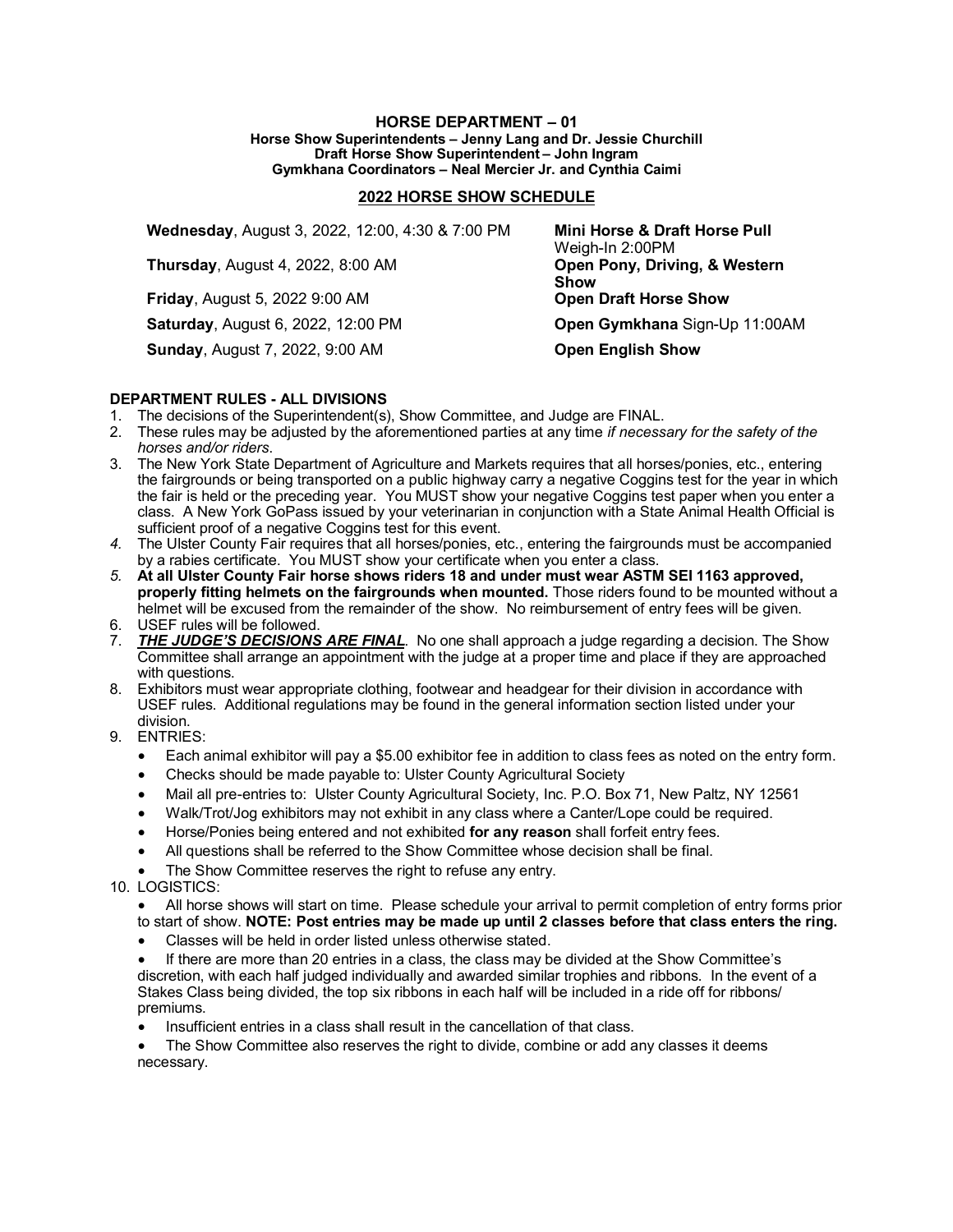## **HORSE DEPARTMENT – 01 Horse Show Superintendents – Jenny Lang and Dr. Jessie Churchill Draft Horse Show Superintendent – John Ingram Gymkhana Coordinators – Neal Mercier Jr. and Cynthia Caimi**

## **2022 HORSE SHOW SCHEDULE**

| Wednesday, August 3, 2022, 12:00, 4:30 & 7:00 PM | Mini Horse & Draft Horse Pull<br>Weigh-In 2:00PM |
|--------------------------------------------------|--------------------------------------------------|
| <b>Thursday, August 4, 2022, 8:00 AM</b>         | Open Pony, Driving, & Western<br><b>Show</b>     |
| <b>Friday, August 5, 2022 9:00 AM</b>            | <b>Open Draft Horse Show</b>                     |
| <b>Saturday, August 6, 2022, 12:00 PM</b>        | Open Gymkhana Sign-Up 11:00AM                    |
| <b>Sunday, August 7, 2022, 9:00 AM</b>           | <b>Open English Show</b>                         |

## **DEPARTMENT RULES - ALL DIVISIONS**

- 1. The decisions of the Superintendent(s), Show Committee, and Judge are FINAL.
- 2. These rules may be adjusted by the aforementioned parties at any time *if necessary for the safety of the horses and/or riders*.
- 3. The New York State Department of Agriculture and Markets requires that all horses/ponies, etc., entering the fairgrounds or being transported on a public highway carry a negative Coggins test for the year in which the fair is held or the preceding year. You MUST show your negative Coggins test paper when you enter a class. A New York GoPass issued by your veterinarian in conjunction with a State Animal Health Official is sufficient proof of a negative Coggins test for this event.
- *4.* The Ulster County Fair requires that all horses/ponies, etc., entering the fairgrounds must be accompanied by a rabies certificate. You MUST show your certificate when you enter a class.
- *5.* **At all Ulster County Fair horse shows riders 18 and under must wear ASTM SEI 1163 approved, properly fitting helmets on the fairgrounds when mounted.** Those riders found to be mounted without a helmet will be excused from the remainder of the show. No reimbursement of entry fees will be given.
- 6. USEF rules will be followed.
- 7. *THE JUDGE'S DECISIONS ARE FINAL*. No one shall approach a judge regarding a decision. The Show Committee shall arrange an appointment with the judge at a proper time and place if they are approached with questions.
- 8. Exhibitors must wear appropriate clothing, footwear and headgear for their division in accordance with USEF rules. Additional regulations may be found in the general information section listed under your division.
- 9. ENTRIES:
	- Each animal exhibitor will pay a \$5.00 exhibitor fee in addition to class fees as noted on the entry form.
	- Checks should be made payable to: Ulster County Agricultural Society
	- Mail all pre-entries to: Ulster County Agricultural Society, Inc. P.O. Box 71, New Paltz, NY 12561
	- Walk/Trot/Jog exhibitors may not exhibit in any class where a Canter/Lope could be required.
	- Horse/Ponies being entered and not exhibited **for any reason** shall forfeit entry fees.
	- All questions shall be referred to the Show Committee whose decision shall be final.
	- The Show Committee reserves the right to refuse any entry.
- 10. LOGISTICS:

• All horse shows will start on time. Please schedule your arrival to permit completion of entry forms prior to start of show. **NOTE: Post entries may be made up until 2 classes before that class enters the ring.**

• Classes will be held in order listed unless otherwise stated.

If there are more than 20 entries in a class, the class may be divided at the Show Committee's discretion, with each half judged individually and awarded similar trophies and ribbons. In the event of a Stakes Class being divided, the top six ribbons in each half will be included in a ride off for ribbons/ premiums.

• Insufficient entries in a class shall result in the cancellation of that class.

The Show Committee also reserves the right to divide, combine or add any classes it deems necessary.